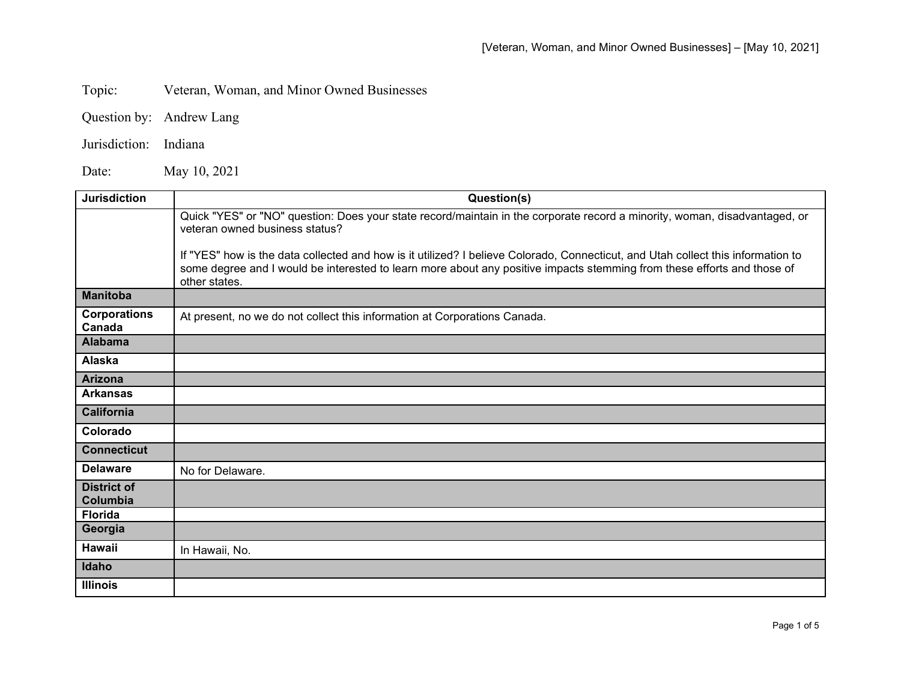Topic: Veteran, Woman, and Minor Owned Businesses

- Question by: Andrew Lang
- Jurisdiction: Indiana

Date: May 10, 2021

| <b>Jurisdiction</b>            | Question(s)                                                                                                                                                                                                                                                                  |
|--------------------------------|------------------------------------------------------------------------------------------------------------------------------------------------------------------------------------------------------------------------------------------------------------------------------|
|                                | Quick "YES" or "NO" question: Does your state record/maintain in the corporate record a minority, woman, disadvantaged, or<br>veteran owned business status?                                                                                                                 |
|                                | If "YES" how is the data collected and how is it utilized? I believe Colorado, Connecticut, and Utah collect this information to<br>some degree and I would be interested to learn more about any positive impacts stemming from these efforts and those of<br>other states. |
| <b>Manitoba</b>                |                                                                                                                                                                                                                                                                              |
| <b>Corporations</b><br>Canada  | At present, no we do not collect this information at Corporations Canada.                                                                                                                                                                                                    |
| <b>Alabama</b>                 |                                                                                                                                                                                                                                                                              |
| Alaska                         |                                                                                                                                                                                                                                                                              |
| <b>Arizona</b>                 |                                                                                                                                                                                                                                                                              |
| <b>Arkansas</b>                |                                                                                                                                                                                                                                                                              |
| <b>California</b>              |                                                                                                                                                                                                                                                                              |
| Colorado                       |                                                                                                                                                                                                                                                                              |
| <b>Connecticut</b>             |                                                                                                                                                                                                                                                                              |
| <b>Delaware</b>                | No for Delaware.                                                                                                                                                                                                                                                             |
| <b>District of</b><br>Columbia |                                                                                                                                                                                                                                                                              |
| <b>Florida</b>                 |                                                                                                                                                                                                                                                                              |
| Georgia                        |                                                                                                                                                                                                                                                                              |
| <b>Hawaii</b>                  | In Hawaii, No.                                                                                                                                                                                                                                                               |
| Idaho                          |                                                                                                                                                                                                                                                                              |
| <b>Illinois</b>                |                                                                                                                                                                                                                                                                              |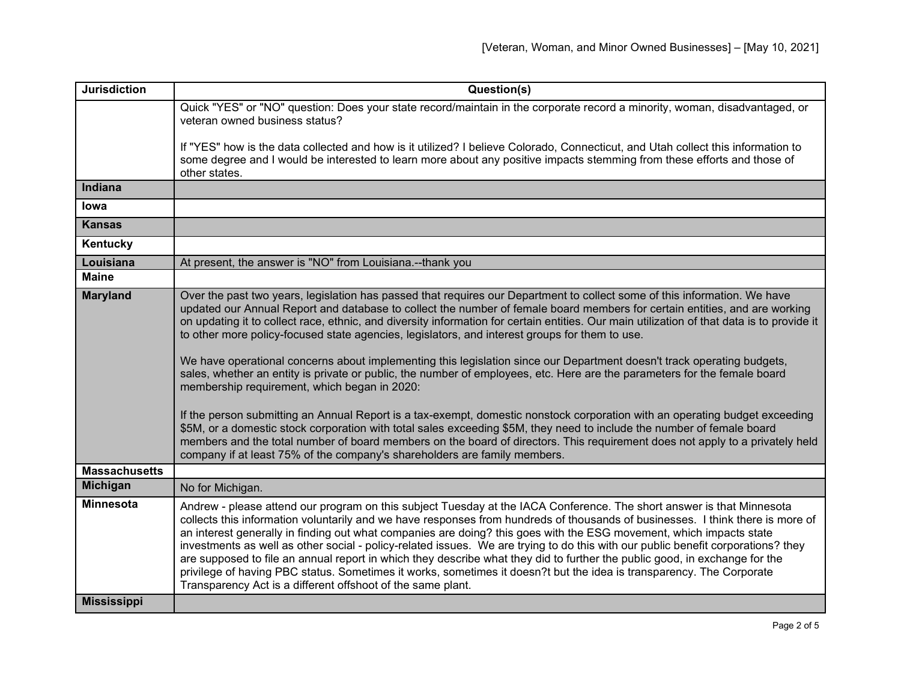| <b>Jurisdiction</b>  | Question(s)                                                                                                                                                                                                                                                                                                                                                                                                                                                                                                                                                                                                                                                                                                                                                                                                                                                                                                                                                                                                                                                                                                                                                                                                                                                                          |
|----------------------|--------------------------------------------------------------------------------------------------------------------------------------------------------------------------------------------------------------------------------------------------------------------------------------------------------------------------------------------------------------------------------------------------------------------------------------------------------------------------------------------------------------------------------------------------------------------------------------------------------------------------------------------------------------------------------------------------------------------------------------------------------------------------------------------------------------------------------------------------------------------------------------------------------------------------------------------------------------------------------------------------------------------------------------------------------------------------------------------------------------------------------------------------------------------------------------------------------------------------------------------------------------------------------------|
|                      | Quick "YES" or "NO" question: Does your state record/maintain in the corporate record a minority, woman, disadvantaged, or<br>veteran owned business status?                                                                                                                                                                                                                                                                                                                                                                                                                                                                                                                                                                                                                                                                                                                                                                                                                                                                                                                                                                                                                                                                                                                         |
|                      | If "YES" how is the data collected and how is it utilized? I believe Colorado, Connecticut, and Utah collect this information to<br>some degree and I would be interested to learn more about any positive impacts stemming from these efforts and those of<br>other states.                                                                                                                                                                                                                                                                                                                                                                                                                                                                                                                                                                                                                                                                                                                                                                                                                                                                                                                                                                                                         |
| Indiana              |                                                                                                                                                                                                                                                                                                                                                                                                                                                                                                                                                                                                                                                                                                                                                                                                                                                                                                                                                                                                                                                                                                                                                                                                                                                                                      |
| lowa                 |                                                                                                                                                                                                                                                                                                                                                                                                                                                                                                                                                                                                                                                                                                                                                                                                                                                                                                                                                                                                                                                                                                                                                                                                                                                                                      |
| <b>Kansas</b>        |                                                                                                                                                                                                                                                                                                                                                                                                                                                                                                                                                                                                                                                                                                                                                                                                                                                                                                                                                                                                                                                                                                                                                                                                                                                                                      |
| Kentucky             |                                                                                                                                                                                                                                                                                                                                                                                                                                                                                                                                                                                                                                                                                                                                                                                                                                                                                                                                                                                                                                                                                                                                                                                                                                                                                      |
| Louisiana            | At present, the answer is "NO" from Louisiana.--thank you                                                                                                                                                                                                                                                                                                                                                                                                                                                                                                                                                                                                                                                                                                                                                                                                                                                                                                                                                                                                                                                                                                                                                                                                                            |
| <b>Maine</b>         |                                                                                                                                                                                                                                                                                                                                                                                                                                                                                                                                                                                                                                                                                                                                                                                                                                                                                                                                                                                                                                                                                                                                                                                                                                                                                      |
| <b>Maryland</b>      | Over the past two years, legislation has passed that requires our Department to collect some of this information. We have<br>updated our Annual Report and database to collect the number of female board members for certain entities, and are working<br>on updating it to collect race, ethnic, and diversity information for certain entities. Our main utilization of that data is to provide it<br>to other more policy-focused state agencies, legislators, and interest groups for them to use.<br>We have operational concerns about implementing this legislation since our Department doesn't track operating budgets,<br>sales, whether an entity is private or public, the number of employees, etc. Here are the parameters for the female board<br>membership requirement, which began in 2020:<br>If the person submitting an Annual Report is a tax-exempt, domestic nonstock corporation with an operating budget exceeding<br>\$5M, or a domestic stock corporation with total sales exceeding \$5M, they need to include the number of female board<br>members and the total number of board members on the board of directors. This requirement does not apply to a privately held<br>company if at least 75% of the company's shareholders are family members. |
| <b>Massachusetts</b> |                                                                                                                                                                                                                                                                                                                                                                                                                                                                                                                                                                                                                                                                                                                                                                                                                                                                                                                                                                                                                                                                                                                                                                                                                                                                                      |
| <b>Michigan</b>      | No for Michigan.                                                                                                                                                                                                                                                                                                                                                                                                                                                                                                                                                                                                                                                                                                                                                                                                                                                                                                                                                                                                                                                                                                                                                                                                                                                                     |
| <b>Minnesota</b>     | Andrew - please attend our program on this subject Tuesday at the IACA Conference. The short answer is that Minnesota<br>collects this information voluntarily and we have responses from hundreds of thousands of businesses. I think there is more of<br>an interest generally in finding out what companies are doing? this goes with the ESG movement, which impacts state<br>investments as well as other social - policy-related issues. We are trying to do this with our public benefit corporations? they<br>are supposed to file an annual report in which they describe what they did to further the public good, in exchange for the<br>privilege of having PBC status. Sometimes it works, sometimes it doesn?t but the idea is transparency. The Corporate<br>Transparency Act is a different offshoot of the same plant.                                                                                                                                                                                                                                                                                                                                                                                                                                              |
| <b>Mississippi</b>   |                                                                                                                                                                                                                                                                                                                                                                                                                                                                                                                                                                                                                                                                                                                                                                                                                                                                                                                                                                                                                                                                                                                                                                                                                                                                                      |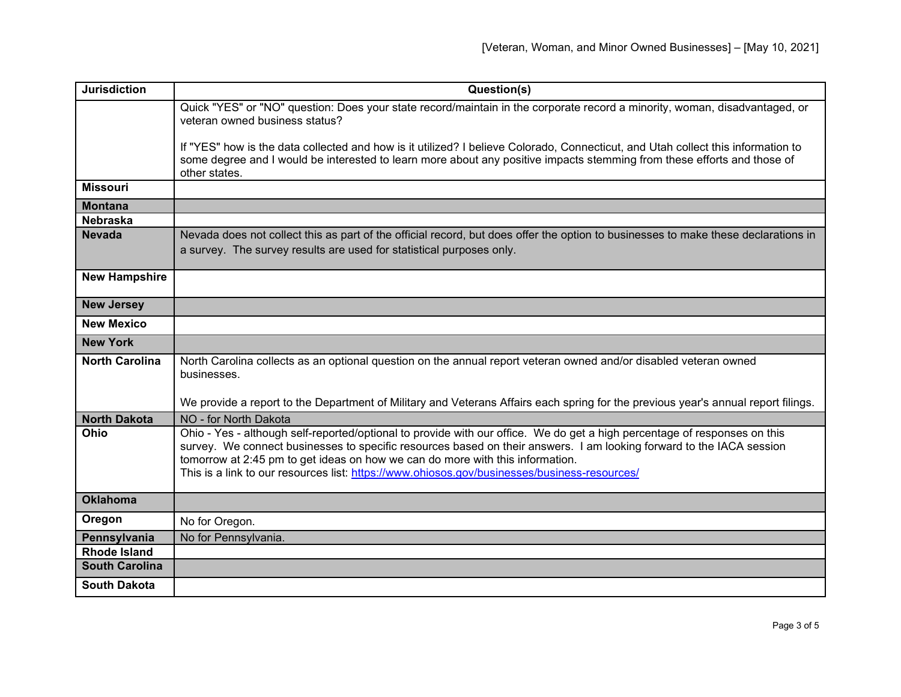| <b>Jurisdiction</b>   | Question(s)                                                                                                                                                                                                                                                                                                                                                                                                                        |
|-----------------------|------------------------------------------------------------------------------------------------------------------------------------------------------------------------------------------------------------------------------------------------------------------------------------------------------------------------------------------------------------------------------------------------------------------------------------|
|                       | Quick "YES" or "NO" question: Does your state record/maintain in the corporate record a minority, woman, disadvantaged, or<br>veteran owned business status?                                                                                                                                                                                                                                                                       |
|                       | If "YES" how is the data collected and how is it utilized? I believe Colorado, Connecticut, and Utah collect this information to<br>some degree and I would be interested to learn more about any positive impacts stemming from these efforts and those of<br>other states.                                                                                                                                                       |
| <b>Missouri</b>       |                                                                                                                                                                                                                                                                                                                                                                                                                                    |
| <b>Montana</b>        |                                                                                                                                                                                                                                                                                                                                                                                                                                    |
| <b>Nebraska</b>       |                                                                                                                                                                                                                                                                                                                                                                                                                                    |
| <b>Nevada</b>         | Nevada does not collect this as part of the official record, but does offer the option to businesses to make these declarations in<br>a survey. The survey results are used for statistical purposes only.                                                                                                                                                                                                                         |
| <b>New Hampshire</b>  |                                                                                                                                                                                                                                                                                                                                                                                                                                    |
| <b>New Jersey</b>     |                                                                                                                                                                                                                                                                                                                                                                                                                                    |
| <b>New Mexico</b>     |                                                                                                                                                                                                                                                                                                                                                                                                                                    |
| <b>New York</b>       |                                                                                                                                                                                                                                                                                                                                                                                                                                    |
| <b>North Carolina</b> | North Carolina collects as an optional question on the annual report veteran owned and/or disabled veteran owned<br>businesses.                                                                                                                                                                                                                                                                                                    |
|                       | We provide a report to the Department of Military and Veterans Affairs each spring for the previous year's annual report filings.                                                                                                                                                                                                                                                                                                  |
| <b>North Dakota</b>   | NO - for North Dakota                                                                                                                                                                                                                                                                                                                                                                                                              |
| <b>Ohio</b>           | Ohio - Yes - although self-reported/optional to provide with our office. We do get a high percentage of responses on this<br>survey. We connect businesses to specific resources based on their answers. I am looking forward to the IACA session<br>tomorrow at 2:45 pm to get ideas on how we can do more with this information.<br>This is a link to our resources list: https://www.ohiosos.gov/businesses/business-resources/ |
| <b>Oklahoma</b>       |                                                                                                                                                                                                                                                                                                                                                                                                                                    |
| Oregon                | No for Oregon.                                                                                                                                                                                                                                                                                                                                                                                                                     |
| Pennsylvania          | No for Pennsylvania.                                                                                                                                                                                                                                                                                                                                                                                                               |
| <b>Rhode Island</b>   |                                                                                                                                                                                                                                                                                                                                                                                                                                    |
| <b>South Carolina</b> |                                                                                                                                                                                                                                                                                                                                                                                                                                    |
| <b>South Dakota</b>   |                                                                                                                                                                                                                                                                                                                                                                                                                                    |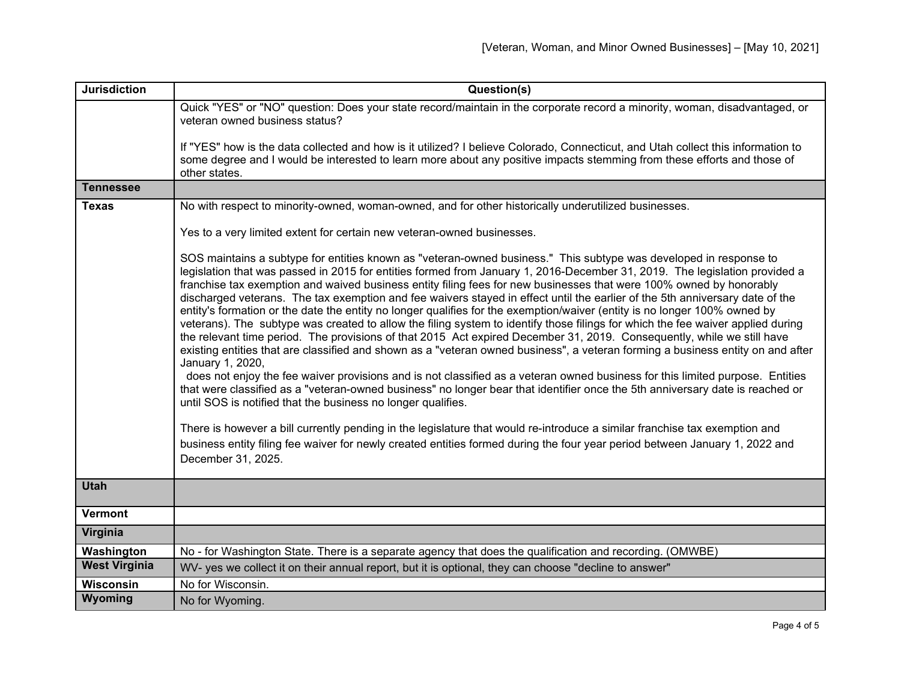| <b>Jurisdiction</b>  | Question(s)                                                                                                                                                                                                                                                                                                                                                                                                                                                                                                                                                                                                                                                                                                                                                                                                                                                                                                                                                                                                                                                                                                                                                                                                                                                                                                                                                                                                                                                                                                                                                                                                                                                                  |
|----------------------|------------------------------------------------------------------------------------------------------------------------------------------------------------------------------------------------------------------------------------------------------------------------------------------------------------------------------------------------------------------------------------------------------------------------------------------------------------------------------------------------------------------------------------------------------------------------------------------------------------------------------------------------------------------------------------------------------------------------------------------------------------------------------------------------------------------------------------------------------------------------------------------------------------------------------------------------------------------------------------------------------------------------------------------------------------------------------------------------------------------------------------------------------------------------------------------------------------------------------------------------------------------------------------------------------------------------------------------------------------------------------------------------------------------------------------------------------------------------------------------------------------------------------------------------------------------------------------------------------------------------------------------------------------------------------|
|                      | Quick "YES" or "NO" question: Does your state record/maintain in the corporate record a minority, woman, disadvantaged, or<br>veteran owned business status?                                                                                                                                                                                                                                                                                                                                                                                                                                                                                                                                                                                                                                                                                                                                                                                                                                                                                                                                                                                                                                                                                                                                                                                                                                                                                                                                                                                                                                                                                                                 |
|                      | If "YES" how is the data collected and how is it utilized? I believe Colorado, Connecticut, and Utah collect this information to<br>some degree and I would be interested to learn more about any positive impacts stemming from these efforts and those of<br>other states.                                                                                                                                                                                                                                                                                                                                                                                                                                                                                                                                                                                                                                                                                                                                                                                                                                                                                                                                                                                                                                                                                                                                                                                                                                                                                                                                                                                                 |
| <b>Tennessee</b>     |                                                                                                                                                                                                                                                                                                                                                                                                                                                                                                                                                                                                                                                                                                                                                                                                                                                                                                                                                                                                                                                                                                                                                                                                                                                                                                                                                                                                                                                                                                                                                                                                                                                                              |
| <b>Texas</b>         | No with respect to minority-owned, woman-owned, and for other historically underutilized businesses.                                                                                                                                                                                                                                                                                                                                                                                                                                                                                                                                                                                                                                                                                                                                                                                                                                                                                                                                                                                                                                                                                                                                                                                                                                                                                                                                                                                                                                                                                                                                                                         |
|                      | Yes to a very limited extent for certain new veteran-owned businesses.                                                                                                                                                                                                                                                                                                                                                                                                                                                                                                                                                                                                                                                                                                                                                                                                                                                                                                                                                                                                                                                                                                                                                                                                                                                                                                                                                                                                                                                                                                                                                                                                       |
|                      | SOS maintains a subtype for entities known as "veteran-owned business." This subtype was developed in response to<br>legislation that was passed in 2015 for entities formed from January 1, 2016-December 31, 2019. The legislation provided a<br>franchise tax exemption and waived business entity filing fees for new businesses that were 100% owned by honorably<br>discharged veterans. The tax exemption and fee waivers stayed in effect until the earlier of the 5th anniversary date of the<br>entity's formation or the date the entity no longer qualifies for the exemption/waiver (entity is no longer 100% owned by<br>veterans). The subtype was created to allow the filing system to identify those filings for which the fee waiver applied during<br>the relevant time period. The provisions of that 2015 Act expired December 31, 2019. Consequently, while we still have<br>existing entities that are classified and shown as a "veteran owned business", a veteran forming a business entity on and after<br>January 1, 2020,<br>does not enjoy the fee waiver provisions and is not classified as a veteran owned business for this limited purpose. Entities<br>that were classified as a "veteran-owned business" no longer bear that identifier once the 5th anniversary date is reached or<br>until SOS is notified that the business no longer qualifies.<br>There is however a bill currently pending in the legislature that would re-introduce a similar franchise tax exemption and<br>business entity filing fee waiver for newly created entities formed during the four year period between January 1, 2022 and<br>December 31, 2025. |
| <b>Utah</b>          |                                                                                                                                                                                                                                                                                                                                                                                                                                                                                                                                                                                                                                                                                                                                                                                                                                                                                                                                                                                                                                                                                                                                                                                                                                                                                                                                                                                                                                                                                                                                                                                                                                                                              |
| Vermont              |                                                                                                                                                                                                                                                                                                                                                                                                                                                                                                                                                                                                                                                                                                                                                                                                                                                                                                                                                                                                                                                                                                                                                                                                                                                                                                                                                                                                                                                                                                                                                                                                                                                                              |
| Virginia             |                                                                                                                                                                                                                                                                                                                                                                                                                                                                                                                                                                                                                                                                                                                                                                                                                                                                                                                                                                                                                                                                                                                                                                                                                                                                                                                                                                                                                                                                                                                                                                                                                                                                              |
| Washington           | No - for Washington State. There is a separate agency that does the qualification and recording. (OMWBE)                                                                                                                                                                                                                                                                                                                                                                                                                                                                                                                                                                                                                                                                                                                                                                                                                                                                                                                                                                                                                                                                                                                                                                                                                                                                                                                                                                                                                                                                                                                                                                     |
| <b>West Virginia</b> | WV- yes we collect it on their annual report, but it is optional, they can choose "decline to answer"                                                                                                                                                                                                                                                                                                                                                                                                                                                                                                                                                                                                                                                                                                                                                                                                                                                                                                                                                                                                                                                                                                                                                                                                                                                                                                                                                                                                                                                                                                                                                                        |
| <b>Wisconsin</b>     | No for Wisconsin.                                                                                                                                                                                                                                                                                                                                                                                                                                                                                                                                                                                                                                                                                                                                                                                                                                                                                                                                                                                                                                                                                                                                                                                                                                                                                                                                                                                                                                                                                                                                                                                                                                                            |
| Wyoming              | No for Wyoming.                                                                                                                                                                                                                                                                                                                                                                                                                                                                                                                                                                                                                                                                                                                                                                                                                                                                                                                                                                                                                                                                                                                                                                                                                                                                                                                                                                                                                                                                                                                                                                                                                                                              |